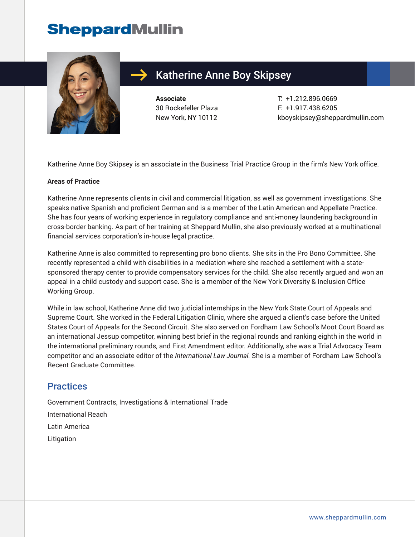## **SheppardMullin**



### Katherine Anne Boy Skipsey

**Associate** 30 Rockefeller Plaza New York, NY 10112 T: +1.212.896.0669 F: +1.917.438.6205 kboyskipsey@sheppardmullin.com

Katherine Anne Boy Skipsey is an associate in the Business Trial Practice Group in the firm's New York office.

#### **Areas of Practice**

Katherine Anne represents clients in civil and commercial litigation, as well as government investigations. She speaks native Spanish and proficient German and is a member of the Latin American and Appellate Practice. She has four years of working experience in regulatory compliance and anti-money laundering background in cross-border banking. As part of her training at Sheppard Mullin, she also previously worked at a multinational financial services corporation's in-house legal practice.

Katherine Anne is also committed to representing pro bono clients. She sits in the Pro Bono Committee. She recently represented a child with disabilities in a mediation where she reached a settlement with a statesponsored therapy center to provide compensatory services for the child. She also recently argued and won an appeal in a child custody and support case. She is a member of the New York Diversity & Inclusion Office Working Group.

While in law school, Katherine Anne did two judicial internships in the New York State Court of Appeals and Supreme Court. She worked in the Federal Litigation Clinic, where she argued a client's case before the United States Court of Appeals for the Second Circuit. She also served on Fordham Law School's Moot Court Board as an international Jessup competitor, winning best brief in the regional rounds and ranking eighth in the world in the international preliminary rounds, and First Amendment editor. Additionally, she was a Trial Advocacy Team competitor and an associate editor of the *International Law Journal.* She is a member of Fordham Law School's Recent Graduate Committee.

#### **Practices**

Government Contracts, Investigations & International Trade International Reach Latin America Litigation